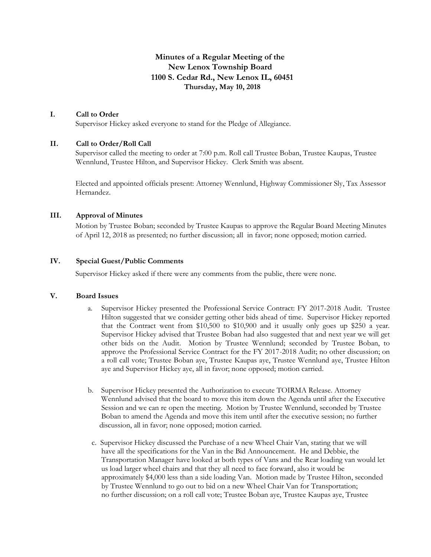# **Minutes of a Regular Meeting of the New Lenox Township Board 1100 S. Cedar Rd., New Lenox IL, 60451 Thursday, May 10, 2018**

# **I. Call to Order**

Supervisor Hickey asked everyone to stand for the Pledge of Allegiance.

### **II. Call to Order/Roll Call**

Supervisor called the meeting to order at 7:00 p.m. Roll call Trustee Boban, Trustee Kaupas, Trustee Wennlund, Trustee Hilton, and Supervisor Hickey. Clerk Smith was absent.

Elected and appointed officials present: Attorney Wennlund, Highway Commissioner Sly, Tax Assessor Hernandez.

#### **III. Approval of Minutes**

Motion by Trustee Boban; seconded by Trustee Kaupas to approve the Regular Board Meeting Minutes of April 12, 2018 as presented; no further discussion; all in favor; none opposed; motion carried.

### **IV. Special Guest/Public Comments**

Supervisor Hickey asked if there were any comments from the public, there were none.

#### **V. Board Issues**

- a. Supervisor Hickey presented the Professional Service Contract: FY 2017-2018 Audit. Trustee Hilton suggested that we consider getting other bids ahead of time. Supervisor Hickey reported that the Contract went from \$10,500 to \$10,900 and it usually only goes up \$250 a year. Supervisor Hickey advised that Trustee Boban had also suggested that and next year we will get other bids on the Audit. Motion by Trustee Wennlund; seconded by Trustee Boban, to approve the Professional Service Contract for the FY 2017-2018 Audit; no other discussion; on a roll call vote; Trustee Boban aye, Trustee Kaupas aye, Trustee Wennlund aye, Trustee Hilton aye and Supervisor Hickey aye, all in favor; none opposed; motion carried.
- b. Supervisor Hickey presented the Authorization to execute TOIRMA Release. Attorney Wennlund advised that the board to move this item down the Agenda until after the Executive Session and we can re open the meeting. Motion by Trustee Wennlund, seconded by Trustee Boban to amend the Agenda and move this item until after the executive session; no further discussion, all in favor; none opposed; motion carried.
- c. Supervisor Hickey discussed the Purchase of a new Wheel Chair Van, stating that we will have all the specifications for the Van in the Bid Announcement. He and Debbie, the Transportation Manager have looked at both types of Vans and the Rear loading van would let us load larger wheel chairs and that they all need to face forward, also it would be approximately \$4,000 less than a side loading Van. Motion made by Trustee Hilton, seconded by Trustee Wennlund to go out to bid on a new Wheel Chair Van for Transportation; no further discussion; on a roll call vote; Trustee Boban aye, Trustee Kaupas aye, Trustee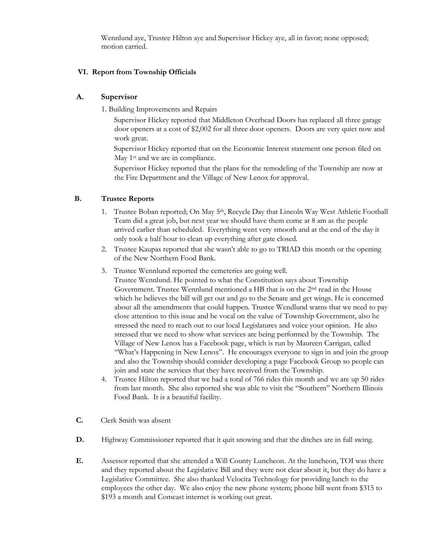Wennlund aye, Trustee Hilton aye and Supervisor Hickey aye, all in favor; none opposed; motion carried.

# **VI. Report from Township Officials**

# **A. Supervisor**

1. Building Improvements and Repairs

Supervisor Hickey reported that Middleton Overhead Doors has replaced all three garage door openers at a cost of \$2,002 for all three door openers. Doors are very quiet now and work great.

Supervisor Hickey reported that on the Economic Interest statement one person filed on May 1<sup>st</sup> and we are in compliance.

Supervisor Hickey reported that the plans for the remodeling of the Township are now at the Fire Department and the Village of New Lenox for approval.

# **B. Trustee Reports**

- 1. Trustee Boban reported; On May 5th, Recycle Day that Lincoln Way West Athletic Football Team did a great job, but next year we should have them come at 8 am as the people arrived earlier than scheduled. Everything went very smooth and at the end of the day it only took a half hour to clean up everything after gate closed.
- 2. Trustee Kaupas reported that she wasn't able to go to TRIAD this month or the opening of the New Northern Food Bank.
- 3. Trustee Wennlund reported the cemeteries are going well.

Trustee Wennlund. He pointed to what the Constitution says about Township Government. Trustee Wennlund mentioned a HB that is on the 2nd read in the House which he believes the bill will get out and go to the Senate and get wings. He is concerned about all the amendments that could happen. Trustee Wendlund warns that we need to pay close attention to this issue and be vocal on the value of Township Government, also he stressed the need to reach out to our local Legislatures and voice your opinion. He also stressed that we need to show what services are being performed by the Township. The Village of New Lenox has a Facebook page, which is run by Maureen Carrigan, called "What's Happening in New Lenox". He encourages everyone to sign in and join the group and also the Township should consider developing a page Facebook Group so people can join and state the services that they have received from the Township.

- 4. Trustee Hilton reported that we had a total of 766 rides this month and we are up 50 rides from last month. She also reported she was able to visit the "Southern" Northern Illinois Food Bank. It is a beautiful facility.
- **C.** Clerk Smith was absent
- **D.** Highway Commissioner reported that it quit snowing and that the ditches are in full swing.
- **E.** Assessor reported that she attended a Will County Luncheon. At the luncheon, TOI was there and they reported about the Legislative Bill and they were not clear about it, but they do have a Legislative Committee. She also thanked Velocita Technology for providing lunch to the employees the other day. We also enjoy the new phone system; phone bill went from \$315 to \$193 a month and Comcast internet is working out great.